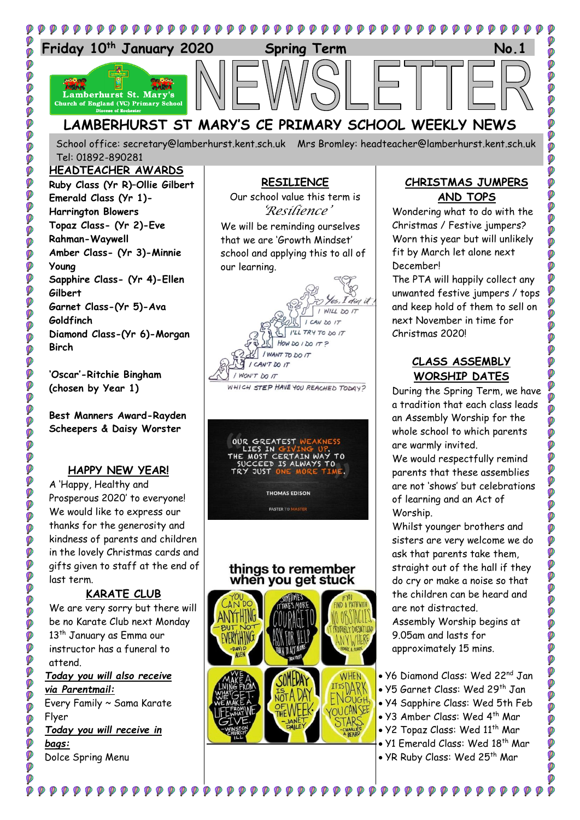

School office: [secretary@lamberhurst.kent.sch.uk](mailto:secretary@lamberhurst.kent.sch.uk) Mrs Bromley: headteacher@lamberhurst.kent.sch.uk Tel: 01892-890281

## **HEADTEACHER AWARDS Ruby Class (Yr R)–Ollie Gilbert Emerald Class (Yr 1)- Harrington Blowers Topaz Class- (Yr 2)-Eve Rahman-Waywell Amber Class- (Yr 3)-Minnie Young Sapphire Class- (Yr 4)-Ellen Gilbert Garnet Class-(Yr 5)-Ava Goldfinch Diamond Class-(Yr 6)-Morgan Birch**

**DOO** 

ø Ø Ø  $\sum_{i=1}^{n}$ Ø Ø Ø Ø **O** 

Ø

Ó

Ø

Ø

Ø

Ø

Ø ø

Ø Ø

**P** 

Ø ø

Ø

**P** 

Ø

Ø

Ø Ø

Ø

Ø Ø

Ø

Ø **DO** 

Ø

Ø

**'Oscar'-Ritchie Bingham (chosen by Year 1)**

**Best Manners Award-Rayden Scheepers & Daisy Worster**

## **HAPPY NEW YEAR!**

A 'Happy, Healthy and Prosperous 2020' to everyone! We would like to express our thanks for the generosity and kindness of parents and children in the lovely Christmas cards and gifts given to staff at the end of last term.

#### **KARATE CLUB**

We are very sorry but there will be no Karate Club next Monday 13<sup>th</sup> January as Emma our instructor has a funeral to attend. *Today you will also receive*

*via Parentmail:*

Every Family ~ Sama Karate Flyer

 $\circledR$ 

Ø

*Today you will receive in bags:*

Dolce Spring Menu

# **RESILIENCE**

Our school value this term is *'Resilience'* We will be reminding ourselves that we are 'Growth Mindset'

school and applying this to all of our learning.

WILL DO 17 I CAN M IT I'LL TRY TO DO 17 HOW DO 1 DO  $172$ I WANT TO DO IT I CAN'T DO IT

WON'T DO IT

WHICH STEP HAVE YOU REACHED TODAY?



### things to remember when you get stuck



#### **CHRISTMAS JUMPERS AND TOPS**

Wondering what to do with the Christmas / Festive jumpers? Worn this year but will unlikely fit by March let alone next December!

The PTA will happily collect any unwanted festive jumpers / tops and keep hold of them to sell on next November in time for Christmas 2020!

# **CLASS ASSEMBLY WORSHIP DATES**

During the Spring Term, we have a tradition that each class leads an Assembly Worship for the whole school to which parents are warmly invited.

We would respectfully remind parents that these assemblies are not 'shows' but celebrations of learning and an Act of Worship.

Whilst younger brothers and sisters are very welcome we do ask that parents take them, straight out of the hall if they do cry or make a noise so that the children can be heard and are not distracted.

Assembly Worship begins at 9.05am and lasts for approximately 15 mins.

- Y6 Diamond Class: Wed 22<sup>nd</sup> Jan
- Y5 Garnet Class: Wed 29<sup>th</sup> Jan
- Y4 Sapphire Class: Wed 5th Feb
- Y3 Amber Class: Wed 4th Mar
- Y2 Topaz Class: Wed 11<sup>th</sup> Mar
- Y1 Emerald Class: Wed 18<sup>th</sup> Mar
- YR Ruby Class: Wed 25th Mar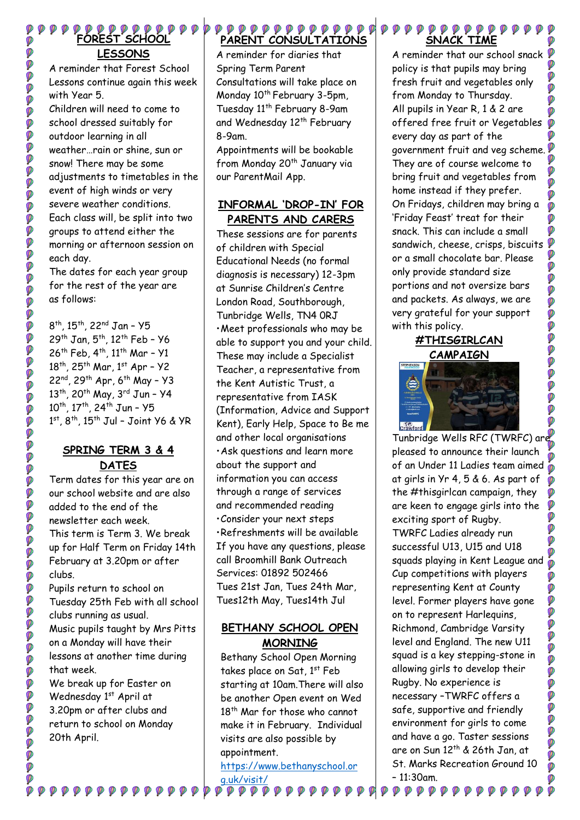**FOREST SCHOOL LESSONS**

Ø

Ø

**POOOOO** 

0000000

**P** Ó

00000

OOOOO

0000

O

**OCCO** 

000

O O O O O O O O

Ø

ø

00000

O

Ø

**DOO** 

ø

Ø

A reminder that Forest School Lessons continue again this week with Year 5.

Children will need to come to school dressed suitably for outdoor learning in all weather…rain or shine, sun or snow! There may be some adjustments to timetables in the event of high winds or very severe weather conditions. Each class will, be split into two groups to attend either the morning or afternoon session on each day.

The dates for each year group for the rest of the year are as follows:

8<sup>th</sup>, 15<sup>th</sup>, 22<sup>nd</sup> Jan – Y5 29<sup>th</sup> Jan, 5<sup>th</sup>, 12<sup>th</sup> Feb - Y6 26<sup>th</sup> Feb, 4<sup>th</sup>, 11<sup>th</sup> Mar - Y1 18<sup>th</sup>, 25<sup>th</sup> Mar, 1st Apr - Y2 22<sup>nd</sup>, 29<sup>th</sup> Apr, 6<sup>th</sup> May - Y3 13<sup>th</sup>, 20<sup>th</sup> May, 3<sup>rd</sup> Jun - Y4 10<sup>th</sup>, 17<sup>th</sup>, 24<sup>th</sup> Jun - Y5 1 st, 8th, 15th Jul – Joint Y6 & YR

## **SPRING TERM 3 & 4 DATES**

Term dates for this year are on our school website and are also added to the end of the newsletter each week. This term is Term 3. We break up for Half Term on Friday 14th February at 3.20pm or after clubs.

Pupils return to school on Tuesday 25th Feb with all school clubs running as usual. Music pupils taught by Mrs Pitts on a Monday will have their lessons at another time during that week. We break up for Easter on Wednesday 1st April at

3.20pm or after clubs and return to school on Monday 20th April.

#### ${\color{red}\blacklozenge\color{blacklozenge\color{blacklozenge\rho}} \mathcal{P} {\color{red}\blacklozenge\color{blacklozenge\rho}} \mathcal{P} {\color{red}\blacklozenge\color{blacklozenge\rho}} \mathcal{P} {\color{red}\blacklozenge\color{blacklozenge\rho}} \mathcal{P} {\color{red}\blacklozenge\color{blacklozenge\rho}} \mathcal{P} {\color{red}\blacklozenge\rho} \mathcal{P} {\color{red}\blacklozenge\rho} \mathcal{P} {\color{red}\blacklozenge\rho} \mathcal{P} {\color{red}\blacklozenge\rho} \mathcal{P} {\color{red}\blacklozenge\rho} \mathcal{$ **PARENT CONSULTATIONS**

A reminder for diaries that Spring Term Parent Consultations will take place on Monday 10<sup>th</sup> February 3-5pm, Tuesday 11<sup>th</sup> February 8-9am and Wednesday 12<sup>th</sup> February 8-9am.

Appointments will be bookable from Monday 20<sup>th</sup> January via our ParentMail App.

# **INFORMAL 'DROP-IN' FOR PARENTS AND CARERS**

These sessions are for parents of children with Special Educational Needs (no formal diagnosis is necessary) 12-3pm at Sunrise Children's Centre London Road, Southborough, Tunbridge Wells, TN4 0RJ •Meet professionals who may be able to support you and your child. These may include a Specialist Teacher, a representative from the Kent Autistic Trust, a representative from IASK (Information, Advice and Support Kent), Early Help, Space to Be me and other local organisations •Ask questions and learn more about the support and information you can access through a range of services and recommended reading •Consider your next steps •Refreshments will be available If you have any questions, please call Broomhill Bank Outreach Services: 01892 502466 Tues 21st Jan, Tues 24th Mar, Tues12th May, Tues14th Jul

## **BETHANY SCHOOL OPEN MORNING**

Bethany School Open Morning takes place on Sat, 1st Feb starting at 10am.There will also be another Open event on Wed 18<sup>th</sup> Mar for those who cannot make it in February. Individual visits are also possible by appointment.

[https://www.bethanyschool.or](https://www.bethanyschool.org.uk/visit/) [g.uk/visit/](https://www.bethanyschool.org.uk/visit/)

**ρρρρρρρρρρα** 

**PP** 

#### **SNACK TIME**

Ø A reminder that our school snack policy is that pupils may bring fresh fruit and vegetables only from Monday to Thursday. All pupils in Year R, 1 & 2 are offered free fruit or Vegetables every day as part of the government fruit and veg scheme. They are of course welcome to bring fruit and vegetables from home instead if they prefer. On Fridays, children may bring a 'Friday Feast' treat for their snack. This can include a small sandwich, cheese, crisps, biscuits or a small chocolate bar. Please only provide standard size portions and not oversize bars Ø and packets. As always, we are Ø Ø very grateful for your support with this policy.

# **#THISGIRLCAN CAMPAIGN**

0000

Ø Ø

Ø

Ø

Ø

DO

**DOO** 

Ó



Tunbridge Wells RFC (TWRFC) are pleased to announce their launch of an Under 11 Ladies team aimed at girls in Yr 4, 5 & 6. As part of the #thisgirlcan campaign, they are keen to engage girls into the exciting sport of Rugby. TWRFC Ladies already run successful U13, U15 and U18 squads playing in Kent League and Cup competitions with players representing Kent at County level. Former players have gone on to represent Harlequins, Richmond, Cambridge Varsity level and England. The new U11 squad is a key stepping-stone in allowing girls to develop their Rugby. No experience is necessary –TWRFC offers a safe, supportive and friendly environment for girls to come and have a go. Taster sessions are on Sun 12th & 26th Jan, at St. Marks Recreation Ground 10 – 11:30am.

 ${\color{red}\phi} {\color{green}\phi} {\color{green}\phi} {\color{green}\phi} {\color{green}\phi} {\color{green}\phi} {\color{green}\phi} {\color{green}\phi} {\color{green}\phi} {\color{green}\phi} {\color{green}\phi} {\color{green}\phi} {\color{green}\phi} {\color{green}\phi}$